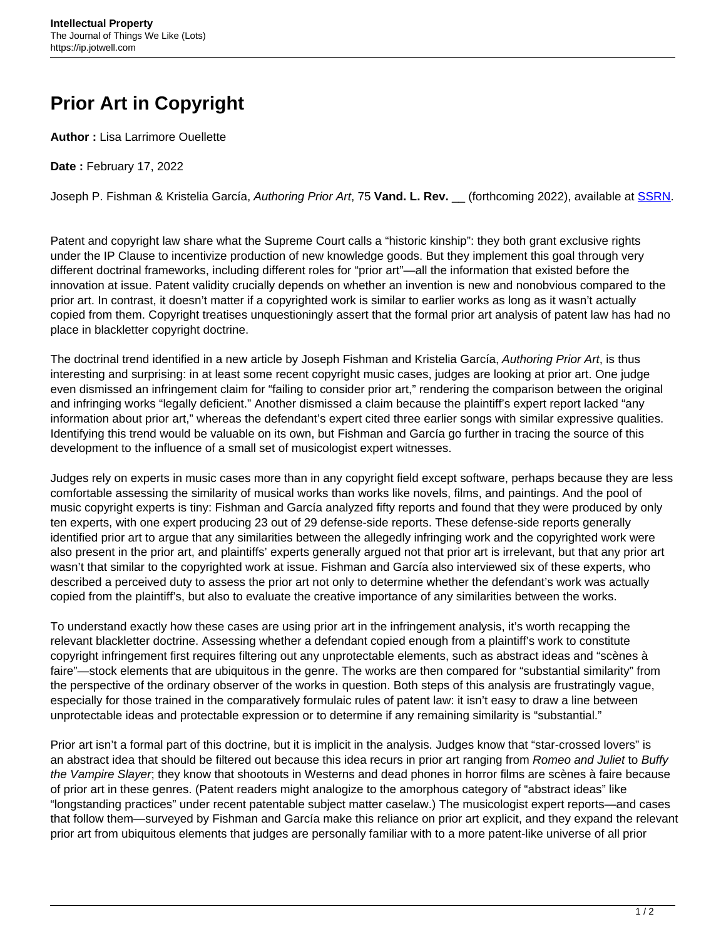## **Prior Art in Copyright**

**Author :** Lisa Larrimore Ouellette

**Date :** February 17, 2022

Joseph P. Fishman & Kristelia García, Authoring Prior Art, 75 **Vand. L. Rev.** \_\_ (forthcoming 2022), available at [SSRN.](https://papers.ssrn.com/sol3/papers.cfm?abstract_id=3966712)

Patent and copyright law share what the Supreme Court calls a "historic kinship": they both grant exclusive rights under the IP Clause to incentivize production of new knowledge goods. But they implement this goal through very different doctrinal frameworks, including different roles for "prior art"—all the information that existed before the innovation at issue. Patent validity crucially depends on whether an invention is new and nonobvious compared to the prior art. In contrast, it doesn't matter if a copyrighted work is similar to earlier works as long as it wasn't actually copied from them. Copyright treatises unquestioningly assert that the formal prior art analysis of patent law has had no place in blackletter copyright doctrine.

The doctrinal trend identified in a new article by Joseph Fishman and Kristelia García, Authoring Prior Art, is thus interesting and surprising: in at least some recent copyright music cases, judges are looking at prior art. One judge even dismissed an infringement claim for "failing to consider prior art," rendering the comparison between the original and infringing works "legally deficient." Another dismissed a claim because the plaintiff's expert report lacked "any information about prior art," whereas the defendant's expert cited three earlier songs with similar expressive qualities. Identifying this trend would be valuable on its own, but Fishman and García go further in tracing the source of this development to the influence of a small set of musicologist expert witnesses.

Judges rely on experts in music cases more than in any copyright field except software, perhaps because they are less comfortable assessing the similarity of musical works than works like novels, films, and paintings. And the pool of music copyright experts is tiny: Fishman and García analyzed fifty reports and found that they were produced by only ten experts, with one expert producing 23 out of 29 defense-side reports. These defense-side reports generally identified prior art to argue that any similarities between the allegedly infringing work and the copyrighted work were also present in the prior art, and plaintiffs' experts generally argued not that prior art is irrelevant, but that any prior art wasn't that similar to the copyrighted work at issue. Fishman and García also interviewed six of these experts, who described a perceived duty to assess the prior art not only to determine whether the defendant's work was actually copied from the plaintiff's, but also to evaluate the creative importance of any similarities between the works.

To understand exactly how these cases are using prior art in the infringement analysis, it's worth recapping the relevant blackletter doctrine. Assessing whether a defendant copied enough from a plaintiff's work to constitute copyright infringement first requires filtering out any unprotectable elements, such as abstract ideas and "scènes à faire"—stock elements that are ubiquitous in the genre. The works are then compared for "substantial similarity" from the perspective of the ordinary observer of the works in question. Both steps of this analysis are frustratingly vague, especially for those trained in the comparatively formulaic rules of patent law: it isn't easy to draw a line between unprotectable ideas and protectable expression or to determine if any remaining similarity is "substantial."

Prior art isn't a formal part of this doctrine, but it is implicit in the analysis. Judges know that "star-crossed lovers" is an abstract idea that should be filtered out because this idea recurs in prior art ranging from Romeo and Juliet to Buffy the Vampire Slayer; they know that shootouts in Westerns and dead phones in horror films are scènes à faire because of prior art in these genres. (Patent readers might analogize to the amorphous category of "abstract ideas" like "longstanding practices" under recent patentable subject matter caselaw.) The musicologist expert reports—and cases that follow them—surveyed by Fishman and García make this reliance on prior art explicit, and they expand the relevant prior art from ubiquitous elements that judges are personally familiar with to a more patent-like universe of all prior